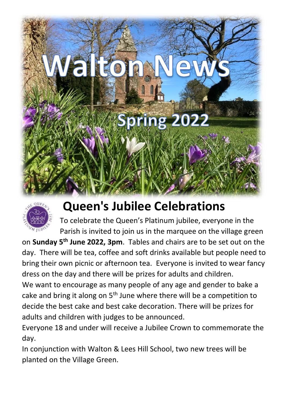



## **Queen's Jubilee Celebrations**

To celebrate the Queen's Platinum jubilee, everyone in the Parish is invited to join us in the marquee on the village green

on **Sunday 5th June 2022, 3pm**. Tables and chairs are to be set out on the day. There will be tea, coffee and soft drinks available but people need to bring their own picnic or afternoon tea. Everyone is invited to wear fancy dress on the day and there will be prizes for adults and children.

We want to encourage as many people of any age and gender to bake a cake and bring it along on  $5<sup>th</sup>$  June where there will be a competition to decide the best cake and best cake decoration. There will be prizes for adults and children with judges to be announced.

Everyone 18 and under will receive a Jubilee Crown to commemorate the day.

In conjunction with Walton & Lees Hill School, two new trees will be planted on the Village Green.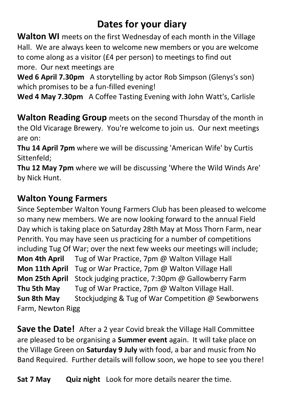### **Dates for your diary**

**Walton WI** meets on the first Wednesday of each month in the Village Hall. We are always keen to welcome new members or you are welcome to come along as a visitor (£4 per person) to meetings to find out more. Our next meetings are

**Wed 6 April 7.30pm** A storytelling by actor Rob Simpson (Glenys's son) which promises to be a fun-filled evening!

**Wed 4 May 7.30pm** A Coffee Tasting Evening with John Watt's, Carlisle

**Walton Reading Group** meets on the second Thursday of the month in the Old Vicarage Brewery. You're welcome to join us. Our next meetings are on:

**Thu 14 April 7pm** where we will be discussing 'American Wife' by Curtis Sittenfeld;

**Thu 12 May 7pm** where we will be discussing 'Where the Wild Winds Are' by Nick Hunt.

### **Walton Young Farmers**

Since September Walton Young Farmers Club has been pleased to welcome so many new members. We are now looking forward to the annual Field Day which is taking place on Saturday 28th May at Moss Thorn Farm, near Penrith. You may have seen us practicing for a number of competitions including Tug Of War; over the next few weeks our meetings will include; **Mon 4th April** Tug of War Practice, 7pm @ Walton Village Hall **Mon 11th April** Tug or War Practice, 7pm @ Walton Village Hall **Mon 25th April** Stock judging practice, 7:30pm @ Gallowberry Farm **Thu 5th May** Tug of War Practice, 7pm @ Walton Village Hall. **Sun 8th May** Stockjudging & Tug of War Competition @ Sewborwens

Farm, Newton Rigg

**Save the Date!** After a 2 year Covid break the Village Hall Committee are pleased to be organising a **Summer event** again. It will take place on the Village Green on **Saturday 9 July** with food, a bar and music from No Band Required. Further details will follow soon, we hope to see you there!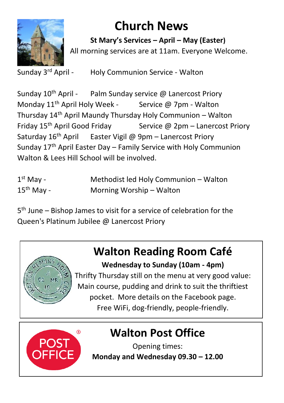

## **Church News**

**St Mary's Services – April – May (Easter)** All morning services are at 11am. Everyone Welcome.

Sunday 3rd April -

Holy Communion Service - Walton

Sunday 10<sup>th</sup> April - Palm Sunday service @ Lanercost Priory Monday  $11<sup>th</sup>$  April Holy Week - Service @ 7pm - Walton Thursday 14th April Maundy Thursday Holy Communion – Walton Friday  $15<sup>th</sup>$  April Good Friday Service @ 2pm – Lanercost Priory Saturday  $16<sup>th</sup>$  April Easter Vigil @ 9pm – Lanercost Priory Sunday 17th April Easter Day – Family Service with Holy Communion Walton & Lees Hill School will be involved

| $1st$ May -  | Methodist led Holy Communion - Walton |
|--------------|---------------------------------------|
| $15th$ May - | Morning Worship – Walton              |

5 th June – Bishop James to visit for a service of celebration for the Queen's Platinum Jubilee @ Lanercost Priory

## **Walton Reading Room Café**



**Wednesday to Sunday (10am - 4pm)** Thrifty Thursday still on the menu at very good value: Main course, pudding and drink to suit the thriftiest

pocket. More details on the Facebook page.

Free WiFi, dog-friendly, people-friendly.



## **Walton Post Office**

Opening times: **Monday and Wednesday 09.30 – 12.00**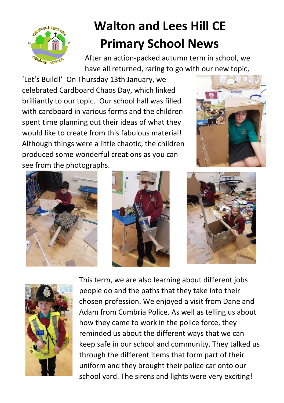

# **Walton and Lees Hill CE Primary School News**

After an action-packed autumn term in school, we have all returned, raring to go with our new topic,

'Let's Build!' On Thursday 13th January, we celebrated Cardboard Chaos Day, which linked brilliantly to our topic. Our school hall was filled with cardboard in various forms and the children spent time planning out their ideas of what they would like to create from this fabulous material! Although things were a little chaotic, the children produced some wonderful creations as you can see from the photographs.











This term, we are also learning about different jobs people do and the paths that they take into their chosen profession. We enjoyed a visit from Dane and Adam from Cumbria Police. As well as telling us about how they came to work in the police force, they reminded us about the different ways that we can keep safe in our school and community. They talked us through the different items that form part of their uniform and they brought their police car onto our school yard. The sirens and lights were very exciting!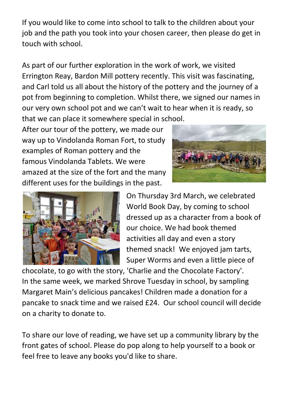If you would like to come into school to talk to the children about your job and the path you took into your chosen career, then please do get in touch with school.

As part of our further exploration in the work of work, we visited Errington Reay, Bardon Mill pottery recently. This visit was fascinating, and Carl told us all about the history of the pottery and the journey of a pot from beginning to completion. Whilst there, we signed our names in our very own school pot and we can't wait to hear when it is ready, so that we can place it somewhere special in school.

After our tour of the pottery, we made our way up to Vindolanda Roman Fort, to study examples of Roman pottery and the famous Vindolanda Tablets. We were amazed at the size of the fort and the many different uses for the buildings in the past.





On Thursday 3rd March, we celebrated World Book Day, by coming to school dressed up as a character from a book of our choice. We had book themed activities all day and even a story themed snack! We enjoyed jam tarts, Super Worms and even a little piece of

chocolate, to go with the story, 'Charlie and the Chocolate Factory'. In the same week, we marked Shrove Tuesday in school, by sampling Margaret Main's delicious pancakes! Children made a donation for a pancake to snack time and we raised £24. Our school council will decide on a charity to donate to.

To share our love of reading, we have set up a community library by the front gates of school. Please do pop along to help yourself to a book or feel free to leave any books you'd like to share.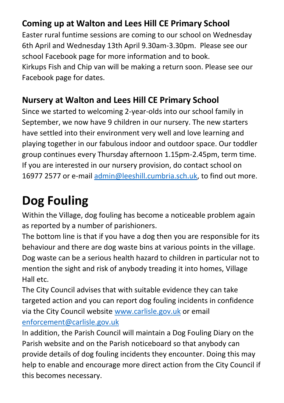### **Coming up at Walton and Lees Hill CE Primary School**

Easter rural funtime sessions are coming to our school on Wednesday 6th April and Wednesday 13th April 9.30am-3.30pm. Please see our school Facebook page for more information and to book. Kirkups Fish and Chip van will be making a return soon. Please see our Facebook page for dates.

#### **Nursery at Walton and Lees Hill CE Primary School**

Since we started to welcoming 2-year-olds into our school family in September, we now have 9 children in our nursery. The new starters have settled into their environment very well and love learning and playing together in our fabulous indoor and outdoor space. Our toddler group continues every Thursday afternoon 1.15pm-2.45pm, term time. If you are interested in our nursery provision, do contact school on 16977 2577 or e-mail [admin@leeshill.cumbria.sch.uk,](mailto:admin@leeshill.cumbria.sch.uk) to find out more.

# **Dog Fouling**

Within the Village, dog fouling has become a noticeable problem again as reported by a number of parishioners.

The bottom line is that if you have a dog then you are responsible for its behaviour and there are dog waste bins at various points in the village. Dog waste can be a serious health hazard to children in particular not to mention the sight and risk of anybody treading it into homes, Village Hall etc.

The City Council advises that with suitable evidence they can take targeted action and you can report dog fouling incidents in confidence via the City Council website [www.carlisle.gov.uk](http://www.carlisle.gov.uk/) or email [enforcement@carlisle.gov.uk](mailto:enforcement@carlisle.gov.uk)

In addition, the Parish Council will maintain a Dog Fouling Diary on the Parish website and on the Parish noticeboard so that anybody can provide details of dog fouling incidents they encounter. Doing this may help to enable and encourage more direct action from the City Council if this becomes necessary.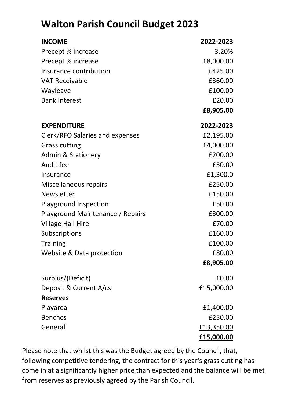### **Walton Parish Council Budget 2023**

| <b>INCOME</b>                    | 2022-2023  |
|----------------------------------|------------|
| Precept % increase               | 3.20%      |
| Precept % increase               | £8,000.00  |
| Insurance contribution           | £425.00    |
| <b>VAT Receivable</b>            | £360.00    |
| Wayleave                         | £100.00    |
| <b>Bank Interest</b>             | £20.00     |
|                                  | £8,905.00  |
| <b>EXPENDITURE</b>               | 2022-2023  |
| Clerk/RFO Salaries and expenses  | £2,195.00  |
| <b>Grass cutting</b>             | £4,000.00  |
| <b>Admin &amp; Stationery</b>    | £200.00    |
| Audit fee                        | £50.00     |
| Insurance                        | £1,300.0   |
| Miscellaneous repairs            | £250.00    |
| Newsletter                       | £150.00    |
| Playground Inspection            | £50.00     |
| Playground Maintenance / Repairs | £300.00    |
| Village Hall Hire                | £70.00     |
| Subscriptions                    | £160.00    |
| <b>Training</b>                  | £100.00    |
| Website & Data protection        | £80.00     |
|                                  | £8,905.00  |
| Surplus/(Deficit)                | £0.00      |
| Deposit & Current A/cs           | £15,000.00 |
| <b>Reserves</b>                  |            |
| Playarea                         | £1,400.00  |
| <b>Benches</b>                   | £250.00    |
| General                          | £13,350.00 |
|                                  | £15,000.00 |

Please note that whilst this was the Budget agreed by the Council, that, following competitive tendering, the contract for this year's grass cutting has come in at a significantly higher price than expected and the balance will be met from reserves as previously agreed by the Parish Council.